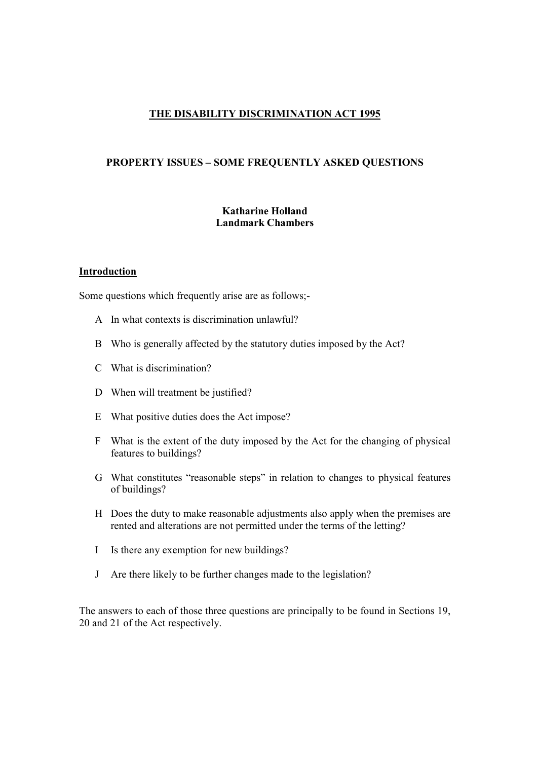# THE DISABILITY DISCRIMINATION ACT 1995

#### PROPERTY ISSUES – SOME FREQUENTLY ASKED QUESTIONS

#### Katharine Holland Landmark Chambers

# **Introduction**

Some questions which frequently arise are as follows;-

- A In what contexts is discrimination unlawful?
- B Who is generally affected by the statutory duties imposed by the Act?
- C What is discrimination?
- D When will treatment be justified?
- E What positive duties does the Act impose?
- F What is the extent of the duty imposed by the Act for the changing of physical features to buildings?
- G What constitutes "reasonable steps" in relation to changes to physical features of buildings?
- H Does the duty to make reasonable adjustments also apply when the premises are rented and alterations are not permitted under the terms of the letting?
- I Is there any exemption for new buildings?
- J Are there likely to be further changes made to the legislation?

The answers to each of those three questions are principally to be found in Sections 19, 20 and 21 of the Act respectively.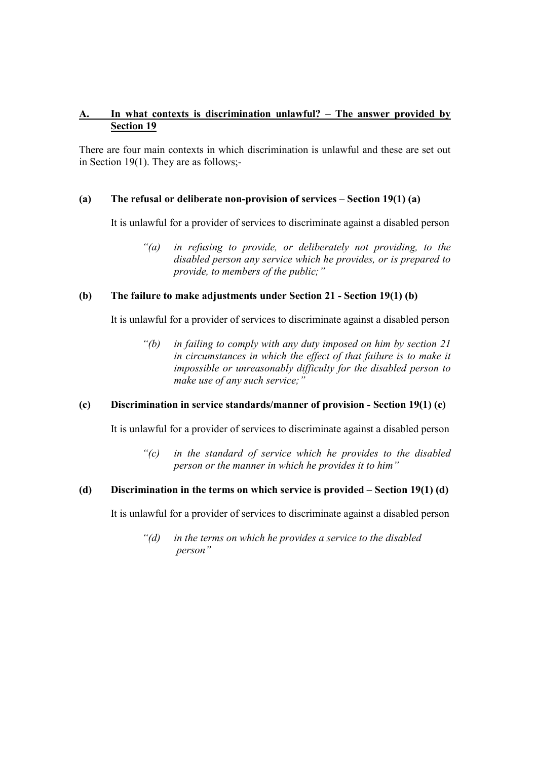# A. In what contexts is discrimination unlawful? – The answer provided by Section 19

There are four main contexts in which discrimination is unlawful and these are set out in Section 19(1). They are as follows;-

## (a) The refusal or deliberate non-provision of services – Section 19(1) (a)

It is unlawful for a provider of services to discriminate against a disabled person

"(a) in refusing to provide, or deliberately not providing, to the disabled person any service which he provides, or is prepared to provide, to members of the public;"

#### (b) The failure to make adjustments under Section 21 - Section 19(1) (b)

It is unlawful for a provider of services to discriminate against a disabled person

"(b) in failing to comply with any duty imposed on him by section 21 in circumstances in which the effect of that failure is to make it impossible or unreasonably difficulty for the disabled person to make use of any such service;"

#### (c) Discrimination in service standards/manner of provision - Section 19(1) (c)

It is unlawful for a provider of services to discriminate against a disabled person

"(c) in the standard of service which he provides to the disabled person or the manner in which he provides it to him"

# (d) Discrimination in the terms on which service is provided – Section 19(1) (d)

It is unlawful for a provider of services to discriminate against a disabled person

 $"$ (d) in the terms on which he provides a service to the disabled person"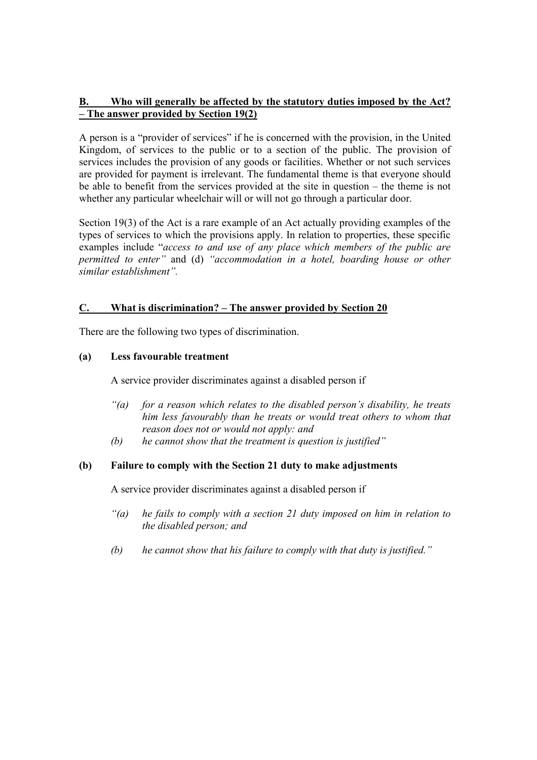# B. Who will generally be affected by the statutory duties imposed by the Act? – The answer provided by Section 19(2)

A person is a "provider of services" if he is concerned with the provision, in the United Kingdom, of services to the public or to a section of the public. The provision of services includes the provision of any goods or facilities. Whether or not such services are provided for payment is irrelevant. The fundamental theme is that everyone should be able to benefit from the services provided at the site in question – the theme is not whether any particular wheelchair will or will not go through a particular door.

Section 19(3) of the Act is a rare example of an Act actually providing examples of the types of services to which the provisions apply. In relation to properties, these specific examples include "access to and use of any place which members of the public are permitted to enter" and (d) "accommodation in a hotel, boarding house or other similar establishment".

# C. What is discrimination? – The answer provided by Section 20

There are the following two types of discrimination.

# (a) Less favourable treatment

A service provider discriminates against a disabled person if

- "(a) for a reason which relates to the disabled person's disability, he treats him less favourably than he treats or would treat others to whom that reason does not or would not apply: and
- $(b)$  he cannot show that the treatment is question is justified"

## (b) Failure to comply with the Section 21 duty to make adjustments

A service provider discriminates against a disabled person if

- $\hat{a}$  he fails to comply with a section 21 duty imposed on him in relation to the disabled person; and
- (b) he cannot show that his failure to comply with that duty is justified."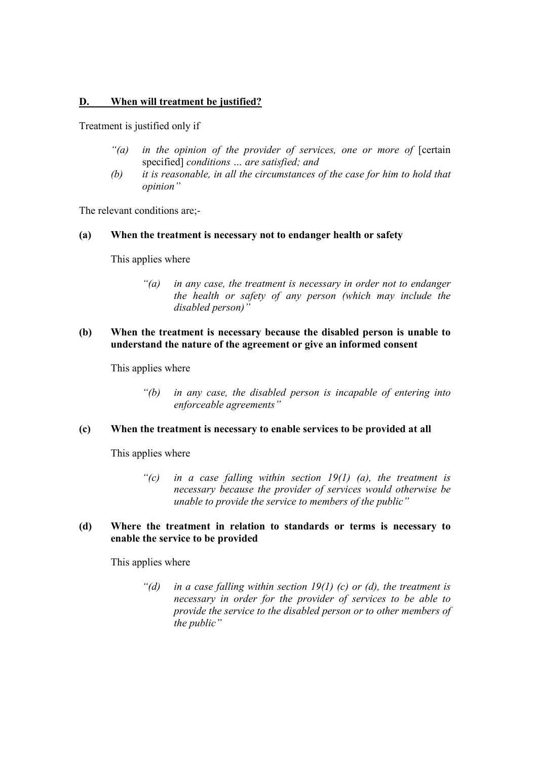## D. When will treatment be justified?

Treatment is justified only if

- $\hat{a}$  in the opinion of the provider of services, one or more of  $[c$ ertain specified] conditions ... are satisfied; and
- (b) it is reasonable, in all the circumstances of the case for him to hold that opinion"

The relevant conditions are;-

#### (a) When the treatment is necessary not to endanger health or safety

This applies where

"(a) in any case, the treatment is necessary in order not to endanger the health or safety of any person (which may include the disabled person)"

## (b) When the treatment is necessary because the disabled person is unable to understand the nature of the agreement or give an informed consent

This applies where

"(b) in any case, the disabled person is incapable of entering into enforceable agreements"

## (c) When the treatment is necessary to enable services to be provided at all

This applies where

"(c) in a case falling within section  $19(1)$  (a), the treatment is necessary because the provider of services would otherwise be unable to provide the service to members of the public"

### (d) Where the treatment in relation to standards or terms is necessary to enable the service to be provided

This applies where

"(d) in a case falling within section  $19(1)$  (c) or (d), the treatment is necessary in order for the provider of services to be able to provide the service to the disabled person or to other members of the public"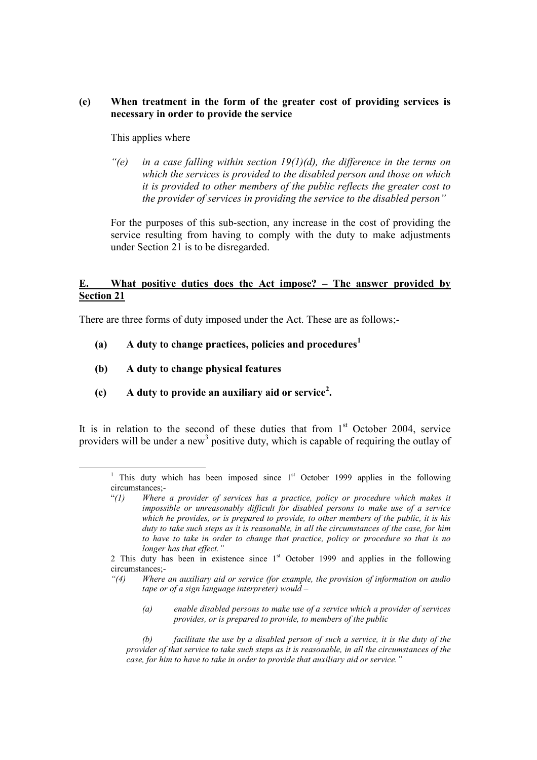### (e) When treatment in the form of the greater cost of providing services is necessary in order to provide the service

### This applies where

"(e) in a case falling within section  $19(1)(d)$ , the difference in the terms on which the services is provided to the disabled person and those on which it is provided to other members of the public reflects the greater cost to the provider of services in providing the service to the disabled person"

For the purposes of this sub-section, any increase in the cost of providing the service resulting from having to comply with the duty to make adjustments under Section 21 is to be disregarded.

## E. What positive duties does the Act impose? – The answer provided by Section 21

There are three forms of duty imposed under the Act. These are as follows;-

- (a) A duty to change practices, policies and procedures<sup>1</sup>
- (b) A duty to change physical features

-

(c) A duty to provide an auxiliary aid or service<sup>2</sup>.

It is in relation to the second of these duties that from  $1<sup>st</sup>$  October 2004, service providers will be under a new<sup>3</sup> positive duty, which is capable of requiring the outlay of

(a) enable disabled persons to make use of a service which a provider of services provides, or is prepared to provide, to members of the public

(b) facilitate the use by a disabled person of such a service, it is the duty of the provider of that service to take such steps as it is reasonable, in all the circumstances of the case, for him to have to take in order to provide that auxiliary aid or service."

<sup>&</sup>lt;sup>1</sup> This duty which has been imposed since  $1<sup>st</sup>$  October 1999 applies in the following circumstances;-

 $\degree$ (1) Where a provider of services has a practice, policy or procedure which makes it impossible or unreasonably difficult for disabled persons to make use of a service which he provides, or is prepared to provide, to other members of the public, it is his duty to take such steps as it is reasonable, in all the circumstances of the case, for him to have to take in order to change that practice, policy or procedure so that is no longer has that effect."

<sup>2</sup> This duty has been in existence since  $1<sup>st</sup>$  October 1999 and applies in the following circumstances;-

<sup>&</sup>quot;(4) Where an auxiliary aid or service (for example, the provision of information on audio tape or of a sign language interpreter) would  $-$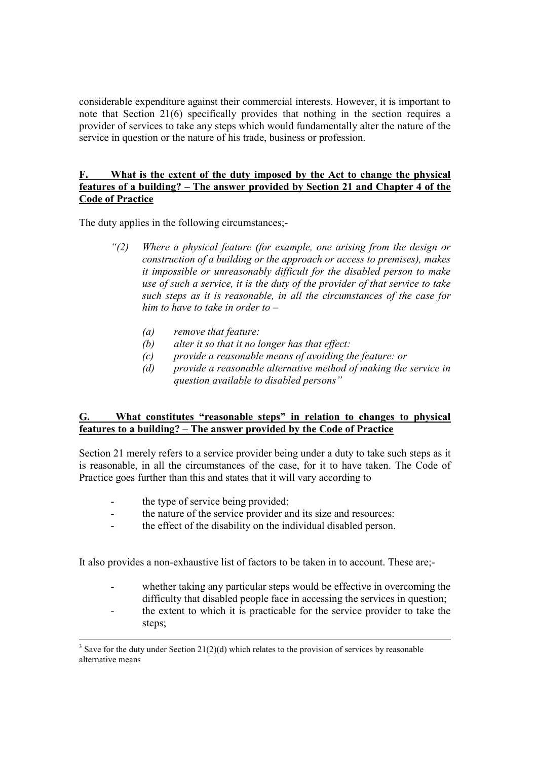considerable expenditure against their commercial interests. However, it is important to note that Section 21(6) specifically provides that nothing in the section requires a provider of services to take any steps which would fundamentally alter the nature of the service in question or the nature of his trade, business or profession.

## F. What is the extent of the duty imposed by the Act to change the physical features of a building? – The answer provided by Section 21 and Chapter 4 of the Code of Practice

The duty applies in the following circumstances;-

- "(2) Where a physical feature (for example, one arising from the design or construction of a building or the approach or access to premises), makes it impossible or unreasonably difficult for the disabled person to make use of such a service, it is the duty of the provider of that service to take such steps as it is reasonable, in all the circumstances of the case for him to have to take in order to  $-$ 
	- (a) remove that feature:
	- (b) alter it so that it no longer has that effect:
	- (c) provide a reasonable means of avoiding the feature: or
	- (d) provide a reasonable alternative method of making the service in question available to disabled persons"

# G. What constitutes "reasonable steps" in relation to changes to physical features to a building? – The answer provided by the Code of Practice

Section 21 merely refers to a service provider being under a duty to take such steps as it is reasonable, in all the circumstances of the case, for it to have taken. The Code of Practice goes further than this and states that it will vary according to

- the type of service being provided;
- the nature of the service provider and its size and resources:
- the effect of the disability on the individual disabled person.

It also provides a non-exhaustive list of factors to be taken in to account. These are;-

- whether taking any particular steps would be effective in overcoming the difficulty that disabled people face in accessing the services in question;
- the extent to which it is practicable for the service provider to take the steps;

<sup>&</sup>lt;sup>3</sup> Save for the duty under Section 21(2)(d) which relates to the provision of services by reasonable alternative means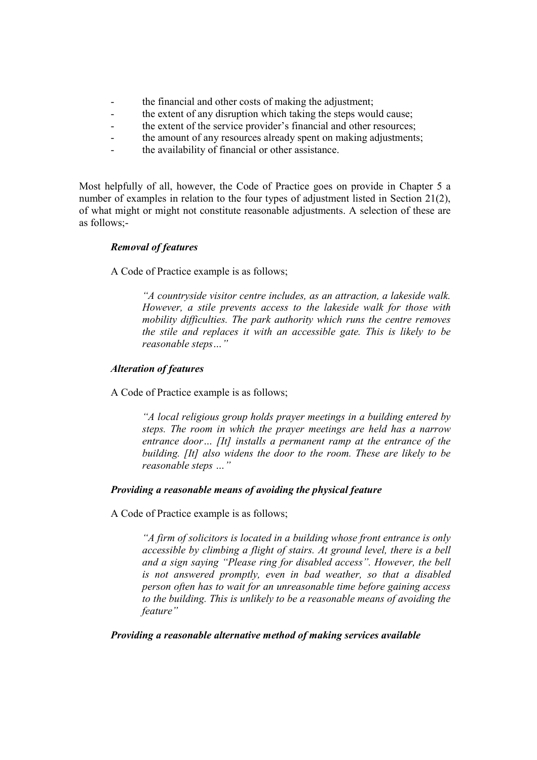- the financial and other costs of making the adjustment;
- the extent of any disruption which taking the steps would cause;
- the extent of the service provider's financial and other resources;
- the amount of any resources already spent on making adjustments;
- the availability of financial or other assistance.

Most helpfully of all, however, the Code of Practice goes on provide in Chapter 5 a number of examples in relation to the four types of adjustment listed in Section 21(2), of what might or might not constitute reasonable adjustments. A selection of these are as follows;-

#### Removal of features

A Code of Practice example is as follows;

"A countryside visitor centre includes, as an attraction, a lakeside walk. However, a stile prevents access to the lakeside walk for those with mobility difficulties. The park authority which runs the centre removes the stile and replaces it with an accessible gate. This is likely to be reasonable steps…"

#### Alteration of features

A Code of Practice example is as follows;

"A local religious group holds prayer meetings in a building entered by steps. The room in which the prayer meetings are held has a narrow entrance door... [It] installs a permanent ramp at the entrance of the building. [It] also widens the door to the room. These are likely to be reasonable steps …"

# Providing a reasonable means of avoiding the physical feature

A Code of Practice example is as follows;

"A firm of solicitors is located in a building whose front entrance is only accessible by climbing a flight of stairs. At ground level, there is a bell and a sign saying "Please ring for disabled access". However, the bell is not answered promptly, even in bad weather, so that a disabled person often has to wait for an unreasonable time before gaining access to the building. This is unlikely to be a reasonable means of avoiding the feature"

#### Providing a reasonable alternative method of making services available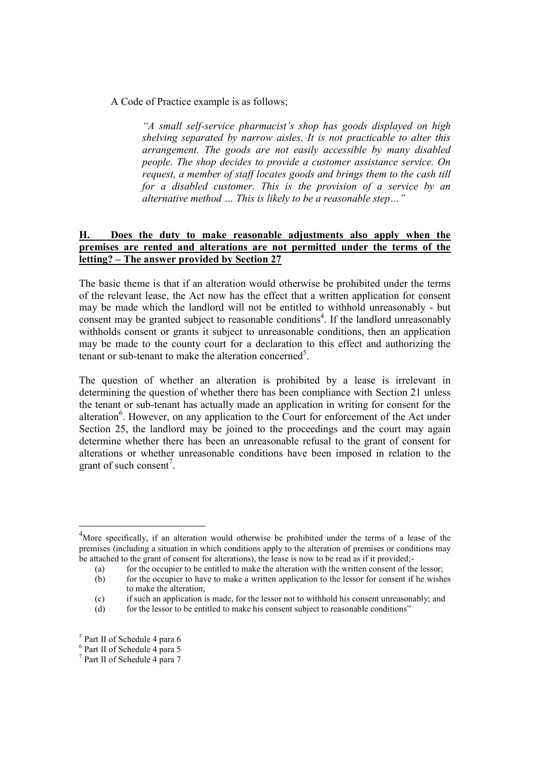A Code of Practice example is as follows;

"A small self-service pharmacist's shop has goods displayed on high shelving separated by narrow aisles. It is not practicable to alter this arrangement. The goods are not easily accessible by many disabled people. The shop decides to provide a customer assistance service. On request, a member of staff locates goods and brings them to the cash till for a disabled customer. This is the provision of a service by an alternative method … This is likely to be a reasonable step…"

### H. Does the duty to make reasonable adjustments also apply when the premises are rented and alterations are not permitted under the terms of the letting? – The answer provided by Section 27

The basic theme is that if an alteration would otherwise be prohibited under the terms of the relevant lease, the Act now has the effect that a written application for consent may be made which the landlord will not be entitled to withhold unreasonably - but consent may be granted subject to reasonable conditions<sup>4</sup>. If the landlord unreasonably withholds consent or grants it subject to unreasonable conditions, then an application may be made to the county court for a declaration to this effect and authorizing the tenant or sub-tenant to make the alteration concerned<sup>5</sup>.

The question of whether an alteration is prohibited by a lease is irrelevant in determining the question of whether there has been compliance with Section 21 unless the tenant or sub-tenant has actually made an application in writing for consent for the alteration<sup>6</sup>. However, on any application to the Court for enforcement of the Act under Section 25, the landlord may be joined to the proceedings and the court may again determine whether there has been an unreasonable refusal to the grant of consent for alterations or whether unreasonable conditions have been imposed in relation to the grant of such consent<sup>7</sup>.

-

 $4$ More specifically, if an alteration would otherwise be prohibited under the terms of a lease of the premises (including a situation in which conditions apply to the alteration of premises or conditions may be attached to the grant of consent for alterations), the lease is now to be read as if it provided;-

<sup>(</sup>a) for the occupier to be entitled to make the alteration with the written consent of the lessor;

<sup>(</sup>b) for the occupier to have to make a written application to the lessor for consent if he wishes to make the alteration;

<sup>(</sup>c) if such an application is made, for the lessor not to withhold his consent unreasonably; and

 $(d)$  for the lessor to be entitled to make his consent subject to reasonable conditions"

<sup>5</sup> Part II of Schedule 4 para 6

<sup>6</sup> Part II of Schedule 4 para 5

<sup>7</sup> Part II of Schedule 4 para 7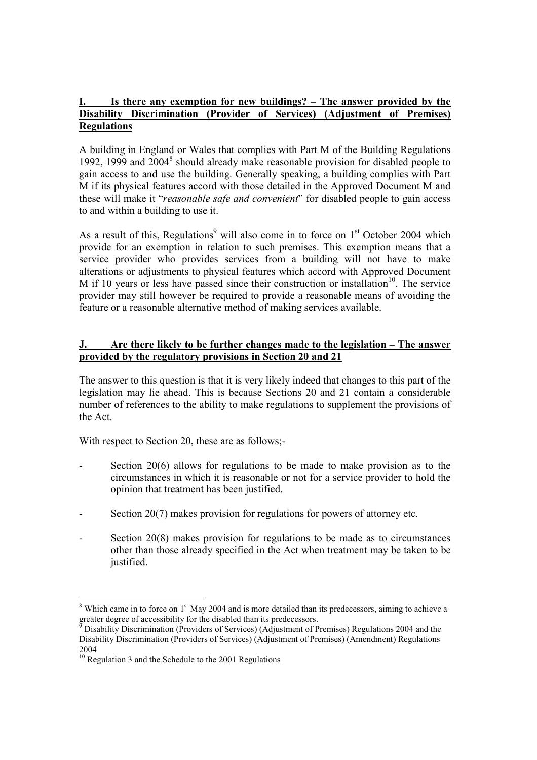## I. Is there any exemption for new buildings? – The answer provided by the Disability Discrimination (Provider of Services) (Adjustment of Premises) Regulations

A building in England or Wales that complies with Part M of the Building Regulations 1992, 1999 and 2004<sup>8</sup> should already make reasonable provision for disabled people to gain access to and use the building. Generally speaking, a building complies with Part M if its physical features accord with those detailed in the Approved Document M and these will make it "*reasonable safe and convenient*" for disabled people to gain access to and within a building to use it.

As a result of this, Regulations<sup>9</sup> will also come in to force on  $1<sup>st</sup>$  October 2004 which provide for an exemption in relation to such premises. This exemption means that a service provider who provides services from a building will not have to make alterations or adjustments to physical features which accord with Approved Document M if 10 years or less have passed since their construction or installation<sup>10</sup>. The service provider may still however be required to provide a reasonable means of avoiding the feature or a reasonable alternative method of making services available.

# J. Are there likely to be further changes made to the legislation – The answer provided by the regulatory provisions in Section 20 and 21

The answer to this question is that it is very likely indeed that changes to this part of the legislation may lie ahead. This is because Sections 20 and 21 contain a considerable number of references to the ability to make regulations to supplement the provisions of the Act.

With respect to Section 20, these are as follows;-

- Section  $20(6)$  allows for regulations to be made to make provision as to the circumstances in which it is reasonable or not for a service provider to hold the opinion that treatment has been justified.
- Section 20(7) makes provision for regulations for powers of attorney etc.
- Section 20(8) makes provision for regulations to be made as to circumstances other than those already specified in the Act when treatment may be taken to be justified.

<sup>-</sup> $8$  Which came in to force on  $1<sup>st</sup>$  May 2004 and is more detailed than its predecessors, aiming to achieve a greater degree of accessibility for the disabled than its predecessors.<br><sup>9</sup> Disability Discrimination (Providers of Services) (Adjustment of P

Disability Discrimination (Providers of Services) (Adjustment of Premises) Regulations 2004 and the Disability Discrimination (Providers of Services) (Adjustment of Premises) (Amendment) Regulations 2004

 $^{10}$  Regulation 3 and the Schedule to the 2001 Regulations